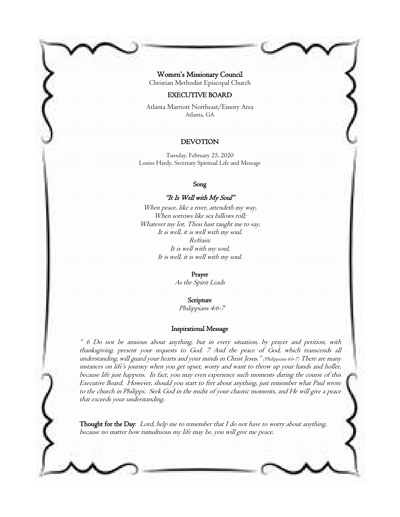

## EXECUTIVE BOARD

Atlanta Marriott Northeast/Emory Area Atlanta, GA

## DEVOTION

Tuesday, February 25, 2020 Louise Hardy, Secretary Spiritual Life and Message

# Song

# "It Is Well with My Soul"

When peace, like a river, attendeth my way, When sorrows like sea billows roll; Whatever my lot, Thou hast taught me to say, It is well, it is well with my soul. Refrain: It is well with my soul, It is well, it is well with my soul.

#### Prayer

As the Spirit Leads

#### Scripture

Philippians 4:6-7

#### Inspirational Message

" 6 Do not be anxious about anything, but in every situation, by prayer and petition, with thanksgiving, present your requests to God. 7 And the peace of God, which transcends all understanding, will guard your hearts and your minds in Christ Jesus." (Philippians 4:6-7) There are many instances on life's journey when you get upset, worry and want to throw up your hands and holler, because life just happens. In fact, you may even experience such moments during the course of this Executive Board. However, should you start to fret about anything, just remember what Paul wrote to the church in Philippi. Seek God in the midst of your chaotic moments, and He will give a peace that exceeds your understanding.

Thought for the Day: Lord, help me to remember that I do not have to worry about anything, because no matter how tumultuous my life may be, you will give me peace.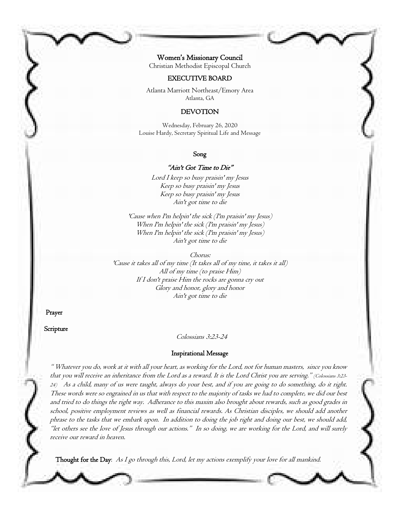# Women's Missionary Council

Christian Methodist Episcopal Church

# EXECUTIVE BOARD

Atlanta Marriott Northeast/Emory Area Atlanta, GA

# DEVOTION

Wednesday, February 26, 2020 Louise Hardy, Secretary Spiritual Life and Message

# Song

# "Ain't Got Time to Die"

Lord I keep so busy praisin' my Jesus Keep so busy praisin' my Jesus Keep so busy praisin' my Jesus Ain't got time to die

'Cause when I'm helpin' the sick (I'm praisin' my Jesus) When I'm helpin' the sick (I'm praisin' my Jesus) When I'm helpin' the sick (I'm praisin' my Jesus) Ain't got time to die

#### Chorus:

'Cause it takes all of my time (It takes all of my time, it takes it all) All of my time (to praise Him) If I don't praise Him the rocks are gonna cry out Glory and honor, glory and honor Ain't got time to die

# Prayer

Scripture

j

Colossians 3:23-24

## Inspirational Message

" Whatever you do, work at it with all your heart, as working for the Lord, not for human masters, since you know [that you will receive an inheritance from the Lord as a reward. It is the Lord Christ you are serving." \(Colossians 3:23-](http://r.search.aol.com/_ylt=AwrExl.sG1JeCkoAIjpjCWVH;_ylu=X3oDMTI0aG9vN2M4BHNlYwNzcgRzbGsDaW1nBG9pZAMxODNmY2NjNmIwOTk3NDVjMWU0YjU0NTFiMDRjMjg3MwRncG9zAzI1NQRpdANiaW5n/RV=2/RE=1582468141/RO=11/RU=https%3a%2f%2fpageborders.org%2ffiles%2fbundles%2fblack-line-borders%2fblack-line-border-7.png/RK=0/RS=p4AweMu4NyIeIGe26ju6scVC.Pg-) 24) As a child, many of us were taught, always do your best, and if you are going to do something, do it right. These words were so engrained in us that with respect to the majority of tasks we had to complete, we did our best and tried to do things the right way. Adherance to this maxim also brought about rewards, such as good grades in school, positive employment reviews as well as financial rewards. As Christian disciples, we should add another phrase to the tasks that we embark upon. In addition to doing the job right and doing our best, we should add, "let others see the love of Jesus through our actions." In so doing, we are working for the Lord, and will surely receive our reward in heaven.

Thought for the Day: As I go through this, Lord, let my actions exemplify your love for all mankind.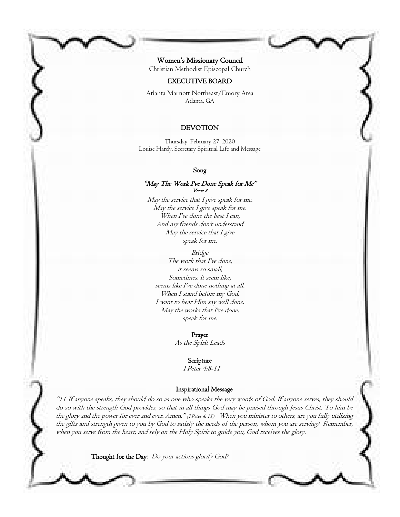# Women's Missionary Council Christian Methodist Episcopal Church

# EXECUTIVE BOARD

Atlanta Marriott Northeast/Emory Area Atlanta, GA

# DEVOTION

Thursday, February 27, 2020 Louise Hardy, Secretary Spiritual Life and Message

# Song

# "May The Work I've Done Speak for Me" Verse 3

May the service that I give speak for me. May the service I give speak for me. When I've done the best I can, And my friends don't understand May the service that I give speak for me.

#### Bridge

The work that I've done, it seems so small, Sometimes, it seem like, seems like I've done nothing at all. When I stand before my God, I want to hear Him say well done. May the works that I've done, speak for me.

Prayer

As the Spirit Leads

## Scripture

I Peter 4:8-11

### Inspirational Message

"11 If anyone speaks, they should do so as one who speaks the very words of God. If anyone serves, they should do so with the strength God provides, so that in all things God may be praised through Jesus Christ. To him be [the glory and the power for ever and ever. Amen." \(I Peter 4: 11\) When you minister to others, are you fully utilizing](http://r.search.aol.com/_ylt=AwrExl.sG1JeCkoAIjpjCWVH;_ylu=X3oDMTI0aG9vN2M4BHNlYwNzcgRzbGsDaW1nBG9pZAMxODNmY2NjNmIwOTk3NDVjMWU0YjU0NTFiMDRjMjg3MwRncG9zAzI1NQRpdANiaW5n/RV=2/RE=1582468141/RO=11/RU=https:/pageborders.org/files/bundles/black-line-borders/black-line-border-7.png/RK=0/RS=p4AweMu4NyIeIGe26ju6scVC.Pg-)  the gifts and strength given to you by God to satisfy the needs of the person, whom you are serving? Remember, when you serve from the heart, and rely on the Holy Spirit to guide you, God receives the glory.

Thought for the Day: Do your actions glorify God?